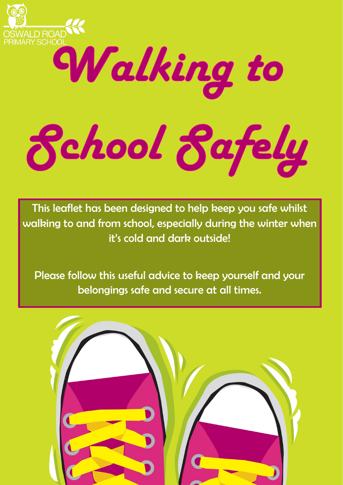

# Walking to School Safely

This leaflet has been designed to help keep you safe whilst walking to and from school, especially during the winter when it's cold and dark outside!

Please follow this useful advice to keep yourself and your belongings safe and secure at all times.